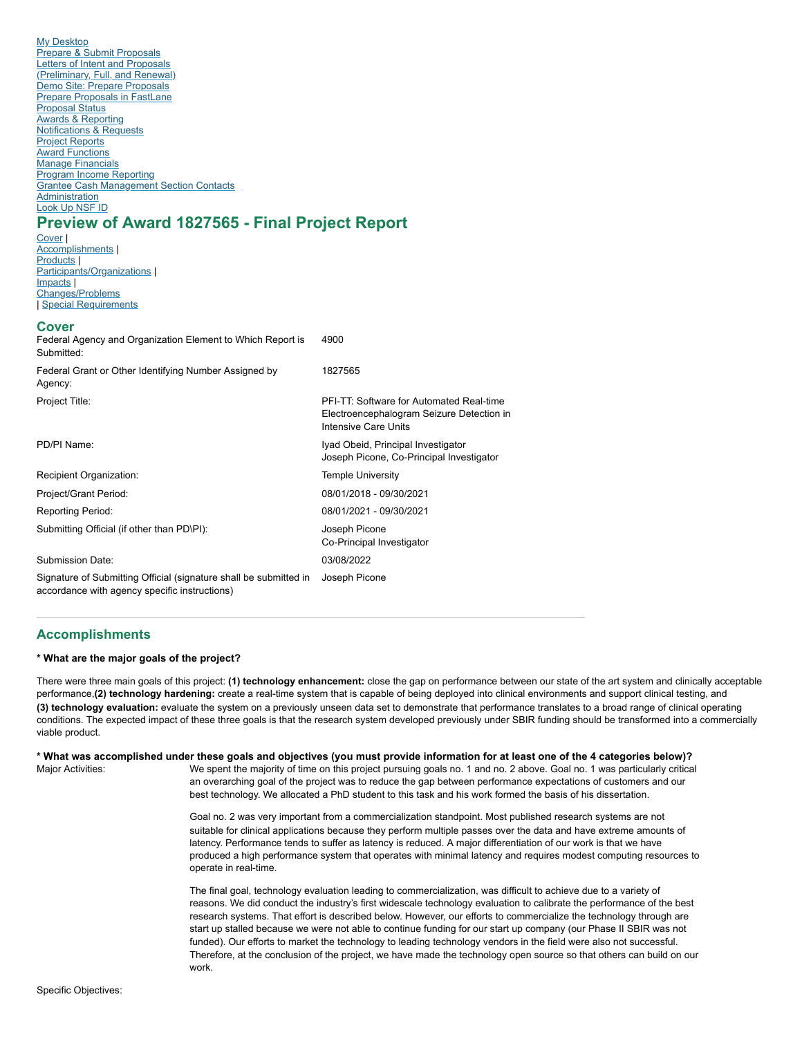My [Desktop](https://www.research.gov/research-web/homepage) Prepare & Submit Proposals Letters of Intent and Proposals [\(Preliminary,](https://www.research.gov/proposalprep/#/proposal-prep) Full, and Renewal) Demo Site: Prepare [Proposals](https://web.demo.research.gov/proposalprep/#/proposal-prep) Prepare [Proposals](https://www.research.gov/research-web/homepage/flsso?fromWhichLogin=RGOVPILOGIN) in FastLane [Proposal](https://www.research.gov/gapps-web/gapps/searchResults) Status **Awards & Reporting** [Notifications](https://www.research.gov/nr-web/) & Requests Project [Reports](https://www.research.gov/rppr-web/) Award [Functions](https://www.research.gov/research-web/homepage/flsso?fromWhichLogin=RGOVPILOGIN) Manage Financials Program Income [Reporting](https://www.research.gov/research-web/homepage/content/programincome) Grantee Cash [Management](https://www.nsf.gov/bfa/dfm/cmeab.jsp) Section Contacts **Administration** [Look](https://fastlane.nsf.gov/researchadmin/nsfIdLookupRead.do) Up NSF ID

# **Preview of Award 1827565 - Final Project Report**

[Cover](#page-0-0)<sub>1</sub> [Accomplishments](#page-0-1) | [Products](#page-3-0) [Participants/Organizations](#page-5-0) | [Impacts](#page-8-0) | [Changes/Problems](#page-9-0) Special [Requirements](#page-9-1)

## <span id="page-0-0"></span>**Cover**

| <b>UUVGI</b><br>Federal Agency and Organization Element to Which Report is<br>Submitted:                           | 4900                                                                                                          |
|--------------------------------------------------------------------------------------------------------------------|---------------------------------------------------------------------------------------------------------------|
| Federal Grant or Other Identifying Number Assigned by<br>Agency:                                                   | 1827565                                                                                                       |
| Project Title:                                                                                                     | PFI-TT: Software for Automated Real-time<br>Electroencephalogram Seizure Detection in<br>Intensive Care Units |
| PD/PI Name:                                                                                                        | Iyad Obeid, Principal Investigator<br>Joseph Picone, Co-Principal Investigator                                |
| Recipient Organization:                                                                                            | <b>Temple University</b>                                                                                      |
| Project/Grant Period:                                                                                              | 08/01/2018 - 09/30/2021                                                                                       |
| <b>Reporting Period:</b>                                                                                           | 08/01/2021 - 09/30/2021                                                                                       |
| Submitting Official (if other than PD\PI):                                                                         | Joseph Picone<br>Co-Principal Investigator                                                                    |
| Submission Date:                                                                                                   | 03/08/2022                                                                                                    |
| Signature of Submitting Official (signature shall be submitted in<br>accordance with agency specific instructions) | Joseph Picone                                                                                                 |

## <span id="page-0-1"></span>**Accomplishments**

## **\* What are the major goals of the project?**

There were three main goals of this project: **(1) technology enhancement:** close the gap on performance between our state of the art system and clinically acceptable performance,**(2) technology hardening:** create a real-time system that is capable of being deployed into clinical environments and support clinical testing, and **(3) technology evaluation:** evaluate the system on a previously unseen data set to demonstrate that performance translates to a broad range of clinical operating conditions. The expected impact of these three goals is that the research system developed previously under SBIR funding should be transformed into a commercially viable product.

Major Activities: **\* What was accomplished under these goals and objectives (you must provide information for at least one of the 4 categories below)?**

We spent the majority of time on this project pursuing goals no. 1 and no. 2 above. Goal no. 1 was particularly critical an overarching goal of the project was to reduce the gap between performance expectations of customers and our best technology. We allocated a PhD student to this task and his work formed the basis of his dissertation.

Goal no. 2 was very important from a commercialization standpoint. Most published research systems are not suitable for clinical applications because they perform multiple passes over the data and have extreme amounts of latency. Performance tends to suffer as latency is reduced. A major differentiation of our work is that we have produced a high performance system that operates with minimal latency and requires modest computing resources to operate in real-time.

The final goal, technology evaluation leading to commercialization, was difficult to achieve due to a variety of reasons. We did conduct the industry's first widescale technology evaluation to calibrate the performance of the best research systems. That effort is described below. However, our efforts to commercialize the technology through are start up stalled because we were not able to continue funding for our start up company (our Phase II SBIR was not funded). Our efforts to market the technology to leading technology vendors in the field were also not successful. Therefore, at the conclusion of the project, we have made the technology open source so that others can build on our work.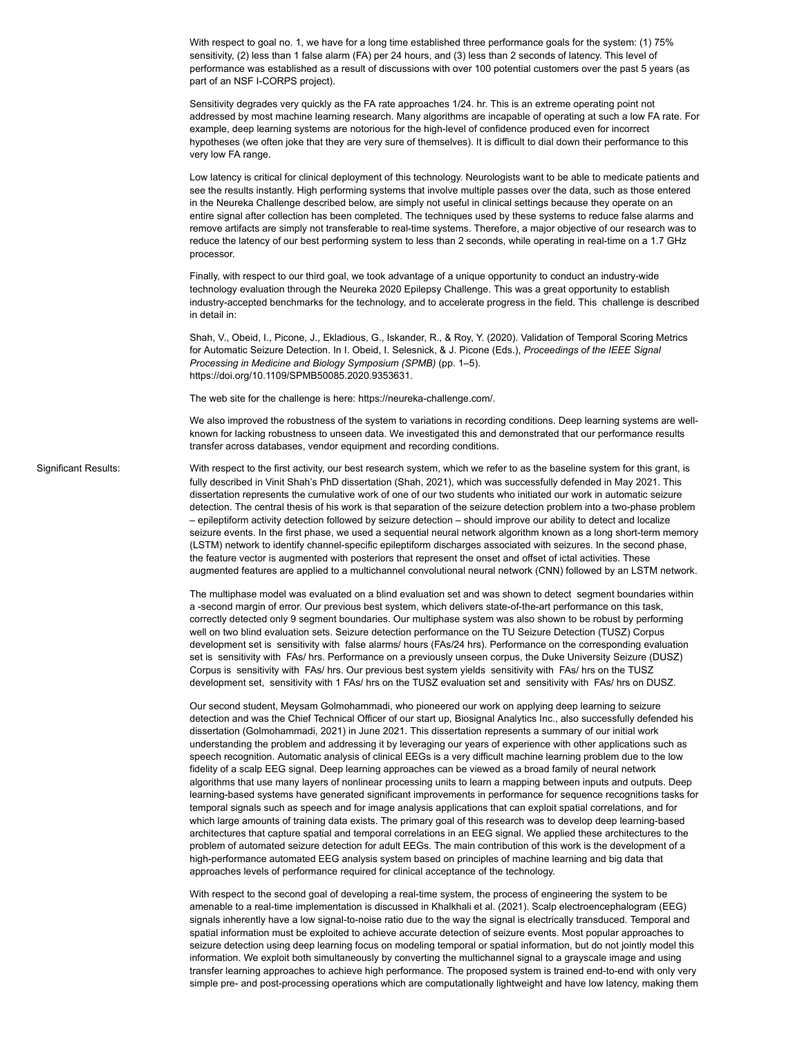With respect to goal no. 1, we have for a long time established three performance goals for the system: (1) 75% sensitivity, (2) less than 1 false alarm (FA) per 24 hours, and (3) less than 2 seconds of latency. This level of performance was established as a result of discussions with over 100 potential customers over the past 5 years (as part of an NSF I-CORPS project).

Sensitivity degrades very quickly as the FA rate approaches 1/24. hr. This is an extreme operating point not addressed by most machine learning research. Many algorithms are incapable of operating at such a low FA rate. For example, deep learning systems are notorious for the high-level of confidence produced even for incorrect hypotheses (we often joke that they are very sure of themselves). It is difficult to dial down their performance to this very low FA range.

Low latency is critical for clinical deployment of this technology. Neurologists want to be able to medicate patients and see the results instantly. High performing systems that involve multiple passes over the data, such as those entered in the Neureka Challenge described below, are simply not useful in clinical settings because they operate on an entire signal after collection has been completed. The techniques used by these systems to reduce false alarms and remove artifacts are simply not transferable to real-time systems. Therefore, a major objective of our research was to reduce the latency of our best performing system to less than 2 seconds, while operating in real-time on a 1.7 GHz processor.

Finally, with respect to our third goal, we took advantage of a unique opportunity to conduct an industry-wide technology evaluation through the Neureka 2020 Epilepsy Challenge. This was a great opportunity to establish industry-accepted benchmarks for the technology, and to accelerate progress in the field. This challenge is described in detail in:

Shah, V., Obeid, I., Picone, J., Ekladious, G., Iskander, R., & Roy, Y. (2020). Validation of Temporal Scoring Metrics for Automatic Seizure Detection. In I. Obeid, I. Selesnick, & J. Picone (Eds.), *Proceedings of the IEEE Signal Processing in Medicine and Biology Symposium (SPMB)* (pp. 1–5). https://doi.org/10.1109/SPMB50085.2020.9353631.

The web site for the challenge is here: https://neureka-challenge.com/.

We also improved the robustness of the system to variations in recording conditions. Deep learning systems are wellknown for lacking robustness to unseen data. We investigated this and demonstrated that our performance results transfer across databases, vendor equipment and recording conditions.

Significant Results:

With respect to the first activity, our best research system, which we refer to as the baseline system for this grant, is fully described in Vinit Shah's PhD dissertation (Shah, 2021), which was successfully defended in May 2021. This dissertation represents the cumulative work of one of our two students who initiated our work in automatic seizure detection. The central thesis of his work is that separation of the seizure detection problem into a two-phase problem – epileptiform activity detection followed by seizure detection – should improve our ability to detect and localize seizure events. In the first phase, we used a sequential neural network algorithm known as a long short-term memory (LSTM) network to identify channel-specific epileptiform discharges associated with seizures. In the second phase, the feature vector is augmented with posteriors that represent the onset and offset of ictal activities. These augmented features are applied to a multichannel convolutional neural network (CNN) followed by an LSTM network.

The multiphase model was evaluated on a blind evaluation set and was shown to detect segment boundaries within a -second margin of error. Our previous best system, which delivers state-of-the-art performance on this task, correctly detected only 9 segment boundaries. Our multiphase system was also shown to be robust by performing well on two blind evaluation sets. Seizure detection performance on the TU Seizure Detection (TUSZ) Corpus development set is sensitivity with false alarms/ hours (FAs/24 hrs). Performance on the corresponding evaluation set is sensitivity with FAs/ hrs. Performance on a previously unseen corpus, the Duke University Seizure (DUSZ) Corpus is sensitivity with FAs/ hrs. Our previous best system yields sensitivity with FAs/ hrs on the TUSZ development set, sensitivity with 1 FAs/ hrs on the TUSZ evaluation set and sensitivity with FAs/ hrs on DUSZ.

Our second student, Meysam Golmohammadi, who pioneered our work on applying deep learning to seizure detection and was the Chief Technical Officer of our start up, Biosignal Analytics Inc., also successfully defended his dissertation (Golmohammadi, 2021) in June 2021. This dissertation represents a summary of our initial work understanding the problem and addressing it by leveraging our years of experience with other applications such as speech recognition. Automatic analysis of clinical EEGs is a very difficult machine learning problem due to the low fidelity of a scalp EEG signal. Deep learning approaches can be viewed as a broad family of neural network algorithms that use many layers of nonlinear processing units to learn a mapping between inputs and outputs. Deep learning-based systems have generated significant improvements in performance for sequence recognitions tasks for temporal signals such as speech and for image analysis applications that can exploit spatial correlations, and for which large amounts of training data exists. The primary goal of this research was to develop deep learning-based architectures that capture spatial and temporal correlations in an EEG signal. We applied these architectures to the problem of automated seizure detection for adult EEGs. The main contribution of this work is the development of a high-performance automated EEG analysis system based on principles of machine learning and big data that approaches levels of performance required for clinical acceptance of the technology.

With respect to the second goal of developing a real-time system, the process of engineering the system to be amenable to a real-time implementation is discussed in Khalkhali et al. (2021). Scalp electroencephalogram (EEG) signals inherently have a low signal-to-noise ratio due to the way the signal is electrically transduced. Temporal and spatial information must be exploited to achieve accurate detection of seizure events. Most popular approaches to seizure detection using deep learning focus on modeling temporal or spatial information, but do not jointly model this information. We exploit both simultaneously by converting the multichannel signal to a grayscale image and using transfer learning approaches to achieve high performance. The proposed system is trained end-to-end with only very simple pre- and post-processing operations which are computationally lightweight and have low latency, making them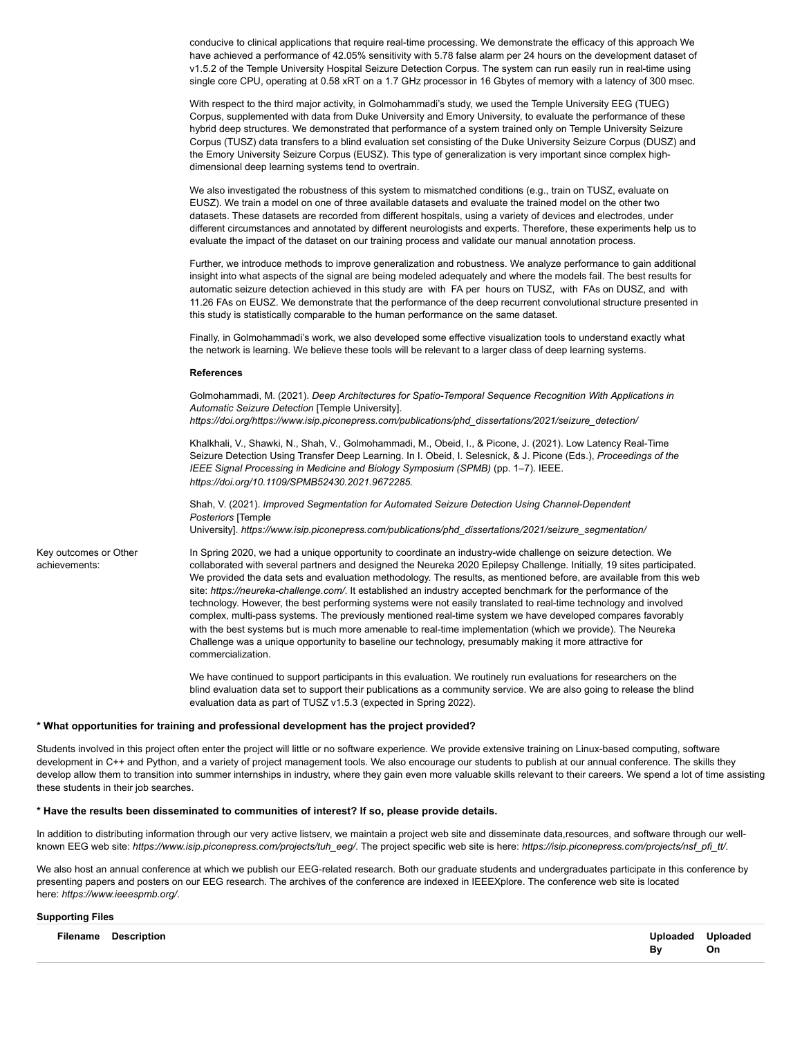conducive to clinical applications that require real-time processing. We demonstrate the efficacy of this approach We have achieved a performance of 42.05% sensitivity with 5.78 false alarm per 24 hours on the development dataset of v1.5.2 of the Temple University Hospital Seizure Detection Corpus. The system can run easily run in real-time using single core CPU, operating at 0.58 xRT on a 1.7 GHz processor in 16 Gbytes of memory with a latency of 300 msec.

With respect to the third major activity, in Golmohammadi's study, we used the Temple University EEG (TUEG) Corpus, supplemented with data from Duke University and Emory University, to evaluate the performance of these hybrid deep structures. We demonstrated that performance of a system trained only on Temple University Seizure Corpus (TUSZ) data transfers to a blind evaluation set consisting of the Duke University Seizure Corpus (DUSZ) and the Emory University Seizure Corpus (EUSZ). This type of generalization is very important since complex highdimensional deep learning systems tend to overtrain.

We also investigated the robustness of this system to mismatched conditions (e.g., train on TUSZ, evaluate on EUSZ). We train a model on one of three available datasets and evaluate the trained model on the other two datasets. These datasets are recorded from different hospitals, using a variety of devices and electrodes, under different circumstances and annotated by different neurologists and experts. Therefore, these experiments help us to evaluate the impact of the dataset on our training process and validate our manual annotation process.

Further, we introduce methods to improve generalization and robustness. We analyze performance to gain additional insight into what aspects of the signal are being modeled adequately and where the models fail. The best results for automatic seizure detection achieved in this study are with FA per hours on TUSZ, with FAs on DUSZ, and with 11.26 FAs on EUSZ. We demonstrate that the performance of the deep recurrent convolutional structure presented in this study is statistically comparable to the human performance on the same dataset.

Finally, in Golmohammadi's work, we also developed some effective visualization tools to understand exactly what the network is learning. We believe these tools will be relevant to a larger class of deep learning systems.

#### **References**

Golmohammadi, M. (2021). *Deep Architectures for Spatio-Temporal Sequence Recognition With Applications in Automatic Seizure Detection* [Temple University]. *https://doi.org/https://www.isip.piconepress.com/publications/phd\_dissertations/2021/seizure\_detection/*

Khalkhali, V., Shawki, N., Shah, V., Golmohammadi, M., Obeid, I., & Picone, J. (2021). Low Latency Real-Time Seizure Detection Using Transfer Deep Learning. In I. Obeid, I. Selesnick, & J. Picone (Eds.), *Proceedings of the IEEE Signal Processing in Medicine and Biology Symposium (SPMB)* (pp. 1–7). IEEE. *https://doi.org/10.1109/SPMB52430.2021.9672285.*

Shah, V. (2021). *Improved Segmentation for Automated Seizure Detection Using Channel-Dependent Posteriors* [Temple

University]. *https://www.isip.piconepress.com/publications/phd\_dissertations/2021/seizure\_segmentation/*

Key outcomes or Other achievements:

In Spring 2020, we had a unique opportunity to coordinate an industry-wide challenge on seizure detection. We collaborated with several partners and designed the Neureka 2020 Epilepsy Challenge. Initially, 19 sites participated. We provided the data sets and evaluation methodology. The results, as mentioned before, are available from this web site: *https://neureka-challenge.com/*. It established an industry accepted benchmark for the performance of the technology. However, the best performing systems were not easily translated to real-time technology and involved complex, multi-pass systems. The previously mentioned real-time system we have developed compares favorably with the best systems but is much more amenable to real-time implementation (which we provide). The Neureka Challenge was a unique opportunity to baseline our technology, presumably making it more attractive for commercialization.

We have continued to support participants in this evaluation. We routinely run evaluations for researchers on the blind evaluation data set to support their publications as a community service. We are also going to release the blind evaluation data as part of TUSZ v1.5.3 (expected in Spring 2022).

#### **\* What opportunities for training and professional development has the project provided?**

Students involved in this project often enter the project will little or no software experience. We provide extensive training on Linux-based computing, software development in C++ and Python, and a variety of project management tools. We also encourage our students to publish at our annual conference. The skills they develop allow them to transition into summer internships in industry, where they gain even more valuable skills relevant to their careers. We spend a lot of time assisting these students in their job searches.

#### **\* Have the results been disseminated to communities of interest? If so, please provide details.**

In addition to distributing information through our very active listserv, we maintain a project web site and disseminate data,resources, and software through our wellknown EEG web site: *https://www.isip.piconepress.com/projects/tuh\_eeg/*. The project specific web site is here: *https://isip.piconepress.com/projects/nsf\_pfi\_tt/*.

We also host an annual conference at which we publish our EEG-related research. Both our graduate students and undergraduates participate in this conference by presenting papers and posters on our EEG research. The archives of the conference are indexed in IEEEXplore. The conference web site is located here: *https://www.ieeespmb.org/*.

#### **Supporting Files**

| <b>Filename Description</b> | Uploaded Uploaded |    |
|-----------------------------|-------------------|----|
|                             | Bγ                | On |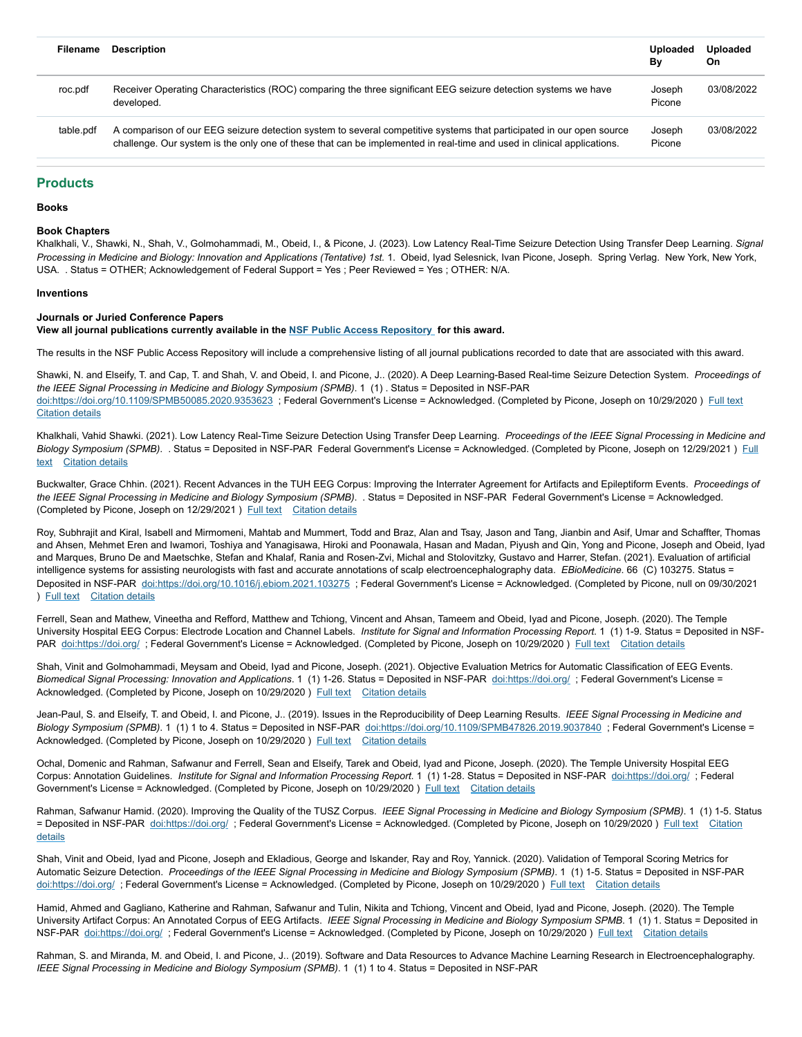| Filename  | <b>Description</b>                                                                                                                                                                                                                             | Uploaded<br>Βv   | <b>Uploaded</b><br>On |
|-----------|------------------------------------------------------------------------------------------------------------------------------------------------------------------------------------------------------------------------------------------------|------------------|-----------------------|
| roc.pdf   | Receiver Operating Characteristics (ROC) comparing the three significant EEG seizure detection systems we have<br>developed.                                                                                                                   | Joseph<br>Picone | 03/08/2022            |
| table.pdf | A comparison of our EEG seizure detection system to several competitive systems that participated in our open source<br>challenge. Our system is the only one of these that can be implemented in real-time and used in clinical applications. | Joseph<br>Picone | 03/08/2022            |

## <span id="page-3-0"></span>**Products**

**Books**

#### **Book Chapters**

Khalkhali, V., Shawki, N., Shah, V., Golmohammadi, M., Obeid, I., & Picone, J. (2023). Low Latency Real-Time Seizure Detection Using Transfer Deep Learning. *Signal* Processing in Medicine and Biology: Innovation and Applications (Tentative) 1st. 1. Obeid, Ivad Selesnick, Ivan Picone, Joseph. Spring Verlag. New York, New York, USA. . Status = OTHER; Acknowledgement of Federal Support = Yes ; Peer Reviewed = Yes ; OTHER: N/A.

#### **Inventions**

#### **Journals or Juried Conference Papers**

**View all journal publications currently available in the NSF Public Access Repository for this award.**

The results in the NSF Public Access Repository will include a comprehensive listing of all journal publications recorded to date that are associated with this award.

Shawki, N. and Elseify, T. and Cap, T. and Shah, V. and Obeid, I. and Picone, J.. (2020). A Deep Learning-Based Real-time Seizure Detection System. *Proceedings of the IEEE Signal Processing in Medicine and Biology Symposium (SPMB)*. 1 (1) . Status = Deposited in NSF-PAR doi:https://doi.org/10.1109/SPMB50085.2020.9353623 ; Federal Government's License = Acknowledged. (Completed by Picone, Joseph on 10/29/2020) Full text Citation details

Khalkhali, Vahid Shawki. (2021). Low Latency Real-Time Seizure Detection Using Transfer Deep Learning. *Proceedings of the IEEE Signal Processing in Medicine and Biology Symposium (SPMB)*. . Status = Deposited in NSF-PAR Federal Government's License = Acknowledged. (Completed by Picone, Joseph on 12/29/2021 ) Full text Citation details

Buckwalter, Grace Chhin. (2021). Recent Advances in the TUH EEG Corpus: Improving the Interrater Agreement for Artifacts and Epileptiform Events. *Proceedings of the IEEE Signal Processing in Medicine and Biology Symposium (SPMB)*. . Status = Deposited in NSF-PAR Federal Government's License = Acknowledged. (Completed by Picone, Joseph on 12/29/2021 ) Full text Citation details

Roy, Subhrajit and Kiral, Isabell and Mirmomeni, Mahtab and Mummert, Todd and Braz, Alan and Tsay, Jason and Tang, Jianbin and Asif, Umar and Schaffter, Thomas and Ahsen, Mehmet Eren and Iwamori, Toshiya and Yanagisawa, Hiroki and Poonawala, Hasan and Madan, Piyush and Qin, Yong and Picone, Joseph and Obeid, Iyad and Marques, Bruno De and Maetschke, Stefan and Khalaf, Rania and Rosen-Zvi, Michal and Stolovitzky, Gustavo and Harrer, Stefan. (2021). Evaluation of artificial intelligence systems for assisting neurologists with fast and accurate annotations of scalp electroencephalography data. *EBioMedicine*. 66 (C) 103275. Status = Deposited in NSF-PAR doi:https://doi.org/10.1016/j.ebiom.2021.103275 ; Federal Government's License = Acknowledged. (Completed by Picone, null on 09/30/2021 ) Full text Citation details

Ferrell, Sean and Mathew, Vineetha and Refford, Matthew and Tchiong, Vincent and Ahsan, Tameem and Obeid, Iyad and Picone, Joseph. (2020). The Temple University Hospital EEG Corpus: Electrode Location and Channel Labels. *Institute for Signal and Information Processing Report*. 1 (1) 1-9. Status = Deposited in NSF-PAR doi:https://doi.org/; Federal Government's License = Acknowledged. (Completed by Picone, Joseph on 10/29/2020) Full text Citation details

Shah, Vinit and Golmohammadi, Meysam and Obeid, Iyad and Picone, Joseph. (2021). Objective Evaluation Metrics for Automatic Classification of EEG Events. *Biomedical Signal Processing: Innovation and Applications*. 1 (1) 1-26. Status = Deposited in NSF-PAR doi:https://doi.org/ ; Federal Government's License = Acknowledged. (Completed by Picone, Joseph on 10/29/2020) Full text Citation details

Jean-Paul, S. and Elseify, T. and Obeid, I. and Picone, J.. (2019). Issues in the Reproducibility of Deep Learning Results. *IEEE Signal Processing in Medicine and Biology Symposium (SPMB)*. 1 (1) 1 to 4. Status = Deposited in NSF-PAR doi:https://doi.org/10.1109/SPMB47826.2019.9037840 ; Federal Government's License = Acknowledged. (Completed by Picone, Joseph on 10/29/2020) Full text Citation details

Ochal, Domenic and Rahman, Safwanur and Ferrell, Sean and Elseify, Tarek and Obeid, Iyad and Picone, Joseph. (2020). The Temple University Hospital EEG Corpus: Annotation Guidelines. *Institute for Signal and Information Processing Report*. 1 (1) 1-28. Status = Deposited in NSF-PAR doi:https://doi.org/ ; Federal Government's License = Acknowledged. (Completed by Picone, Joseph on 10/29/2020 ) Full text Citation details

Rahman, Safwanur Hamid. (2020). Improving the Quality of the TUSZ Corpus. *IEEE Signal Processing in Medicine and Biology Symposium (SPMB)*. 1 (1) 1-5. Status = Deposited in NSF-PAR doi:https://doi.org/ ; Federal Government's License = Acknowledged. (Completed by Picone, Joseph on 10/29/2020 ) Full text Citation details

Shah, Vinit and Obeid, Iyad and Picone, Joseph and Ekladious, George and Iskander, Ray and Roy, Yannick. (2020). Validation of Temporal Scoring Metrics for Automatic Seizure Detection. Proceedings of the IEEE Signal Processing in Medicine and Biology Symposium (SPMB). 1 (1) 1-5. Status = Deposited in NSF-PAR doi:https://doi.org/; Federal Government's License = Acknowledged. (Completed by Picone, Joseph on 10/29/2020) Full text Citation details

Hamid, Ahmed and Gagliano, Katherine and Rahman, Safwanur and Tulin, Nikita and Tchiong, Vincent and Obeid, Iyad and Picone, Joseph. (2020). The Temple University Artifact Corpus: An Annotated Corpus of EEG Artifacts. *IEEE Signal Processing in Medicine and Biology Symposium SPMB*. 1 (1) 1. Status = Deposited in NSF-PAR doi:https://doi.org/ ; Federal Government's License = Acknowledged. (Completed by Picone, Joseph on 10/29/2020 ) Full text Citation details

Rahman, S. and Miranda, M. and Obeid, I. and Picone, J.. (2019). Software and Data Resources to Advance Machine Learning Research in Electroencephalography. *IEEE Signal Processing in Medicine and Biology Symposium (SPMB)*. 1 (1) 1 to 4. Status = Deposited in NSF-PAR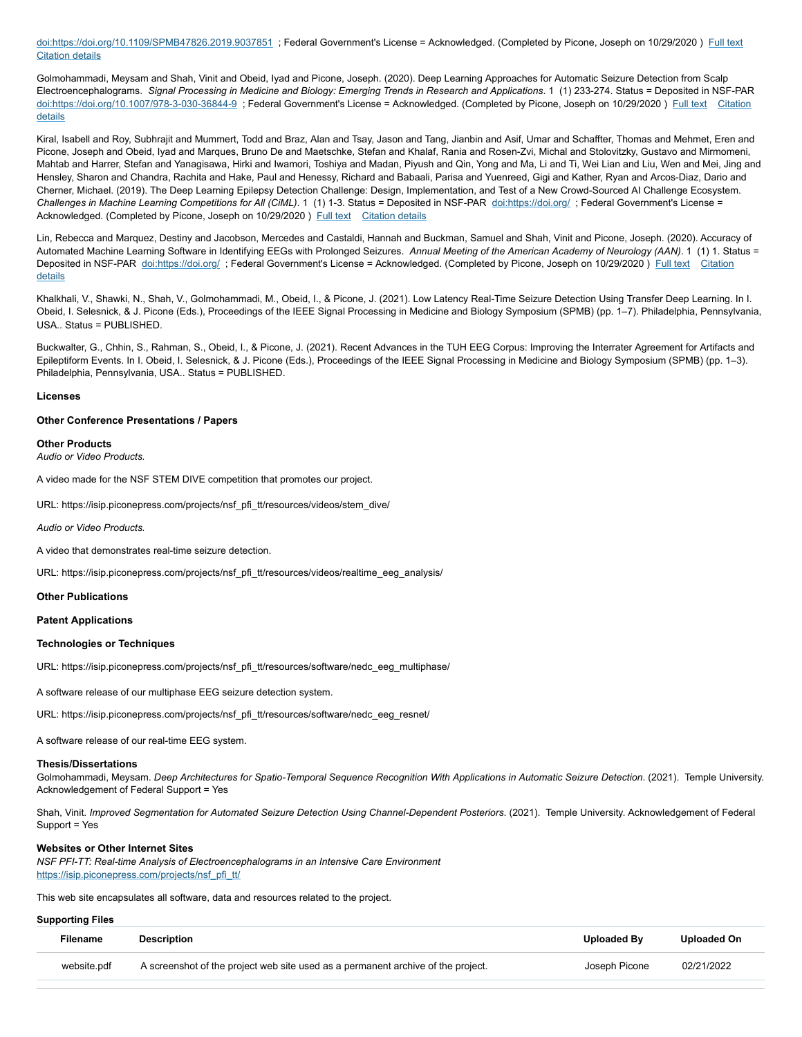doi:https://doi.org/10.1109/SPMB47826.2019.9037851 ; Federal Government's License = Acknowledged. (Completed by Picone, Joseph on 10/29/2020) Full text Citation details

Golmohammadi, Meysam and Shah, Vinit and Obeid, Iyad and Picone, Joseph. (2020). Deep Learning Approaches for Automatic Seizure Detection from Scalp Electroencephalograms. Signal Processing in Medicine and Biology: Emerging Trends in Research and Applications. 1 (1) 233-274. Status = Deposited in NSF-PAR doi:https://doi.org/10.1007/978-3-030-36844-9 ; Federal Government's License = Acknowledged. (Completed by Picone, Joseph on 10/29/2020) Full text Citation details

Kiral, Isabell and Roy, Subhrajit and Mummert, Todd and Braz, Alan and Tsay, Jason and Tang, Jianbin and Asif, Umar and Schaffter, Thomas and Mehmet, Eren and Picone, Joseph and Obeid, Iyad and Marques, Bruno De and Maetschke, Stefan and Khalaf, Rania and Rosen-Zvi, Michal and Stolovitzky, Gustavo and Mirmomeni, Mahtab and Harrer, Stefan and Yanagisawa, Hirki and Iwamori, Toshiya and Madan, Piyush and Qin, Yong and Ma, Li and Ti, Wei Lian and Liu, Wen and Mei, Jing and Hensley, Sharon and Chandra, Rachita and Hake, Paul and Henessy, Richard and Babaali, Parisa and Yuenreed, Gigi and Kather, Ryan and Arcos-Diaz, Dario and Cherner, Michael. (2019). The Deep Learning Epilepsy Detection Challenge: Design, Implementation, and Test of a New Crowd-Sourced AI Challenge Ecosystem. *Challenges in Machine Learning Competitions for All (CiML)*. 1 (1) 1-3. Status = Deposited in NSF-PAR doi:https://doi.org/ ; Federal Government's License = Acknowledged. (Completed by Picone, Joseph on 10/29/2020) Full text Citation details

Lin, Rebecca and Marquez, Destiny and Jacobson, Mercedes and Castaldi, Hannah and Buckman, Samuel and Shah, Vinit and Picone, Joseph. (2020). Accuracy of Automated Machine Learning Software in Identifying EEGs with Prolonged Seizures. *Annual Meeting of the American Academy of Neurology (AAN)*. 1 (1) 1. Status = Deposited in NSF-PAR doi:https://doi.org/ ; Federal Government's License = Acknowledged. (Completed by Picone, Joseph on 10/29/2020 ) Full text Citation details

Khalkhali, V., Shawki, N., Shah, V., Golmohammadi, M., Obeid, I., & Picone, J. (2021). Low Latency Real-Time Seizure Detection Using Transfer Deep Learning. In I. Obeid, I. Selesnick, & J. Picone (Eds.), Proceedings of the IEEE Signal Processing in Medicine and Biology Symposium (SPMB) (pp. 1–7). Philadelphia, Pennsylvania, USA.. Status = PUBLISHED.

Buckwalter, G., Chhin, S., Rahman, S., Obeid, I., & Picone, J. (2021). Recent Advances in the TUH EEG Corpus: Improving the Interrater Agreement for Artifacts and Epileptiform Events. In I. Obeid, I. Selesnick, & J. Picone (Eds.), Proceedings of the IEEE Signal Processing in Medicine and Biology Symposium (SPMB) (pp. 1–3). Philadelphia, Pennsylvania, USA.. Status = PUBLISHED.

#### **Licenses**

#### **Other Conference Presentations / Papers**

#### **Other Products**

*Audio or Video Products.*

A video made for the NSF STEM DIVE competition that promotes our project.

URL: https://isip.piconepress.com/projects/nsf\_pfi\_tt/resources/videos/stem\_dive/

*Audio or Video Products.*

A video that demonstrates real-time seizure detection.

URL: https://isip.piconepress.com/projects/nsf\_pfi\_tt/resources/videos/realtime\_eeg\_analysis/

#### **Other Publications**

#### **Patent Applications**

#### **Technologies or Techniques**

URL: https://isip.piconepress.com/projects/nsf\_pfi\_tt/resources/software/nedc\_eeg\_multiphase/

A software release of our multiphase EEG seizure detection system.

URL: https://isip.piconepress.com/projects/nsf\_pfi\_tt/resources/software/nedc\_eeg\_resnet/

A software release of our real-time EEG system.

#### **Thesis/Dissertations**

Golmohammadi, Meysam. Deep Architectures for Spatio-Temporal Sequence Recognition With Applications in Automatic Seizure Detection. (2021). Temple University. Acknowledgement of Federal Support = Yes

Shah, Vinit. *Improved Segmentation for Automated Seizure Detection Using Channel-Dependent Posteriors*. (2021). Temple University. Acknowledgement of Federal Support = Yes

#### **Websites or Other Internet Sites**

*NSF PFI-TT: Real-time Analysis of Electroencephalograms in an Intensive Care Environment* [https://isip.piconepress.com/projects/nsf\\_pfi\\_tt/](https://isip.piconepress.com/projects/nsf_pfi_tt/)

This web site encapsulates all software, data and resources related to the project.

#### **Supporting Files**

| Filename    | Description                                                                      | Uploaded By   | Uploaded On |
|-------------|----------------------------------------------------------------------------------|---------------|-------------|
| website.pdf | A screenshot of the project web site used as a permanent archive of the project. | Joseph Picone | 02/21/2022  |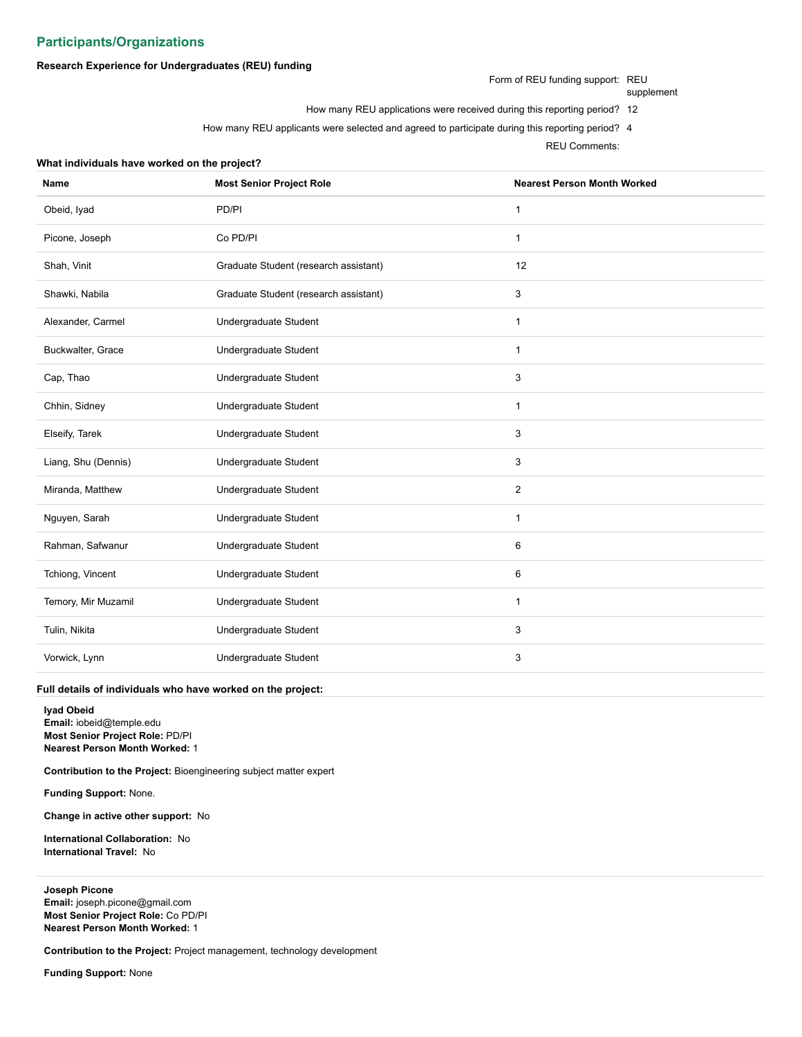## <span id="page-5-0"></span>**Participants/Organizations**

## **Research Experience for Undergraduates (REU) funding**

**What individuals have worked on the project?**

Form of REU funding support: REU

supplement

- How many REU applications were received during this reporting period? 12
- How many REU applicants were selected and agreed to participate during this reporting period? 4

REU Comments:

| Name                | <b>Most Senior Project Role</b>       | <b>Nearest Person Month Worked</b> |
|---------------------|---------------------------------------|------------------------------------|
| Obeid, lyad         | PD/PI                                 | 1                                  |
| Picone, Joseph      | Co PD/PI                              | $\mathbf{1}$                       |
| Shah, Vinit         | Graduate Student (research assistant) | 12                                 |
| Shawki, Nabila      | Graduate Student (research assistant) | 3                                  |
| Alexander, Carmel   | Undergraduate Student                 | $\mathbf{1}$                       |
| Buckwalter, Grace   | Undergraduate Student                 | 1                                  |
| Cap, Thao           | Undergraduate Student                 | 3                                  |
| Chhin, Sidney       | Undergraduate Student                 | $\mathbf{1}$                       |
| Elseify, Tarek      | Undergraduate Student                 | 3                                  |
| Liang, Shu (Dennis) | Undergraduate Student                 | 3                                  |
| Miranda, Matthew    | Undergraduate Student                 | $\overline{2}$                     |
| Nguyen, Sarah       | Undergraduate Student                 | $\mathbf{1}$                       |
| Rahman, Safwanur    | Undergraduate Student                 | 6                                  |
| Tchiong, Vincent    | Undergraduate Student                 | 6                                  |
| Temory, Mir Muzamil | Undergraduate Student                 | $\mathbf{1}$                       |
| Tulin, Nikita       | Undergraduate Student                 | 3                                  |
| Vorwick, Lynn       | Undergraduate Student                 | 3                                  |

## <span id="page-5-1"></span>**Full details of individuals who have worked on the project:**

**Iyad Obeid Email:** iobeid@temple.edu **Most Senior Project Role:** PD/PI **Nearest Person Month Worked:** 1

**Contribution to the Project:** Bioengineering subject matter expert

**Funding Support:** None.

**Change in active other support:** No

**International Collaboration:** No **International Travel:** No

<span id="page-5-2"></span>**Joseph Picone Email:** joseph.picone@gmail.com **Most Senior Project Role:** Co PD/PI **Nearest Person Month Worked:** 1

**Contribution to the Project:** Project management, technology development

**Funding Support:** None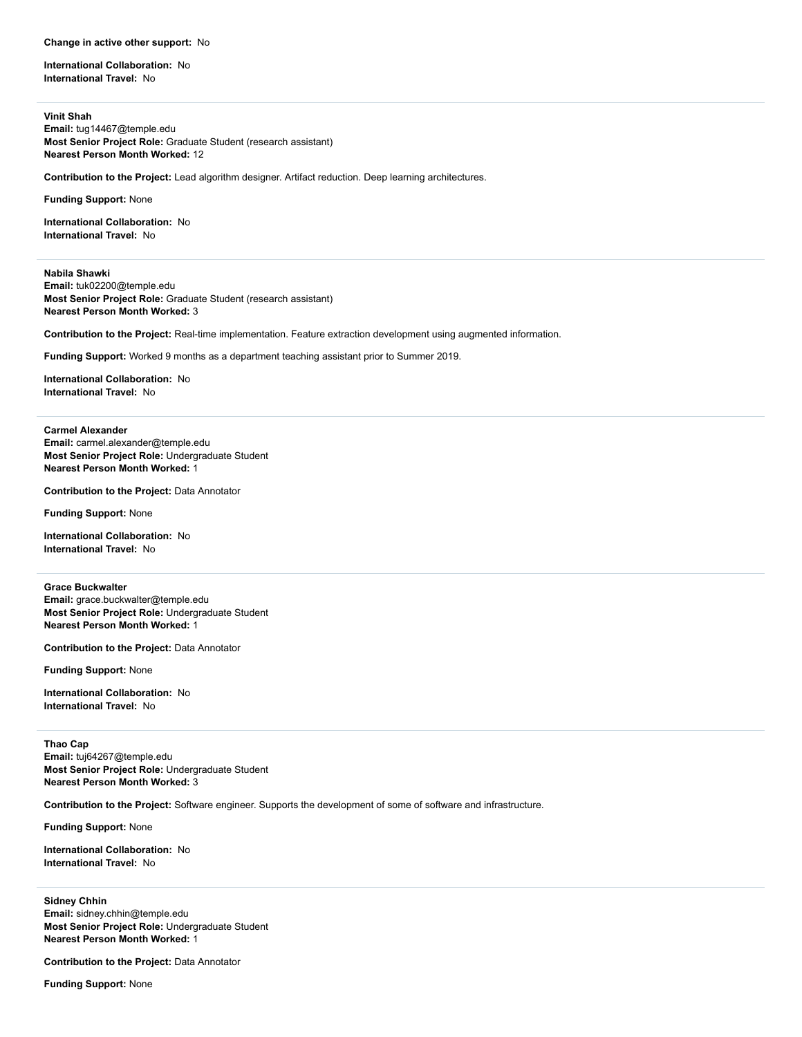#### **Change in active other support:** No

**International Collaboration:** No **International Travel:** No

<span id="page-6-0"></span>**Vinit Shah Email:** tug14467@temple.edu **Most Senior Project Role:** Graduate Student (research assistant) **Nearest Person Month Worked:** 12

**Contribution to the Project:** Lead algorithm designer. Artifact reduction. Deep learning architectures.

**Funding Support:** None

**International Collaboration:** No **International Travel:** No

<span id="page-6-1"></span>**Nabila Shawki Email:** tuk02200@temple.edu **Most Senior Project Role:** Graduate Student (research assistant) **Nearest Person Month Worked:** 3

**Contribution to the Project:** Real-time implementation. Feature extraction development using augmented information.

**Funding Support:** Worked 9 months as a department teaching assistant prior to Summer 2019.

**International Collaboration:** No **International Travel:** No

<span id="page-6-2"></span>**Carmel Alexander Email:** carmel.alexander@temple.edu **Most Senior Project Role:** Undergraduate Student **Nearest Person Month Worked:** 1

**Contribution to the Project:** Data Annotator

**Funding Support:** None

**International Collaboration:** No **International Travel:** No

<span id="page-6-3"></span>**Grace Buckwalter Email:** grace.buckwalter@temple.edu **Most Senior Project Role:** Undergraduate Student **Nearest Person Month Worked:** 1

**Contribution to the Project:** Data Annotator

**Funding Support:** None

**International Collaboration:** No **International Travel:** No

<span id="page-6-4"></span>**Thao Cap Email:** tuj64267@temple.edu **Most Senior Project Role:** Undergraduate Student **Nearest Person Month Worked:** 3

**Contribution to the Project:** Software engineer. Supports the development of some of software and infrastructure.

**Funding Support:** None

**International Collaboration:** No **International Travel:** No

<span id="page-6-5"></span>**Sidney Chhin Email:** sidney.chhin@temple.edu **Most Senior Project Role:** Undergraduate Student **Nearest Person Month Worked:** 1

**Contribution to the Project:** Data Annotator

**Funding Support:** None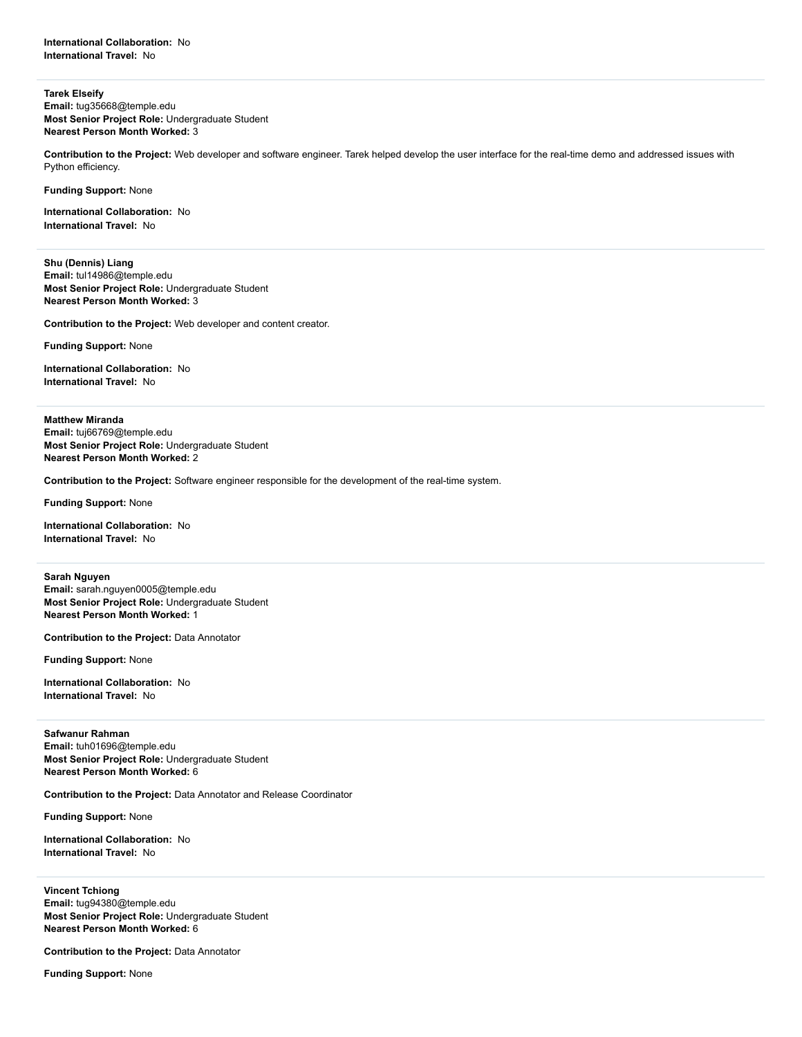<span id="page-7-0"></span>**Tarek Elseify Email:** tug35668@temple.edu **Most Senior Project Role:** Undergraduate Student **Nearest Person Month Worked:** 3

**Contribution to the Project:** Web developer and software engineer. Tarek helped develop the user interface for the real-time demo and addressed issues with Python efficiency.

**Funding Support:** None

**International Collaboration:** No **International Travel:** No

<span id="page-7-1"></span>**Shu (Dennis) Liang Email:** tul14986@temple.edu **Most Senior Project Role:** Undergraduate Student **Nearest Person Month Worked:** 3

**Contribution to the Project:** Web developer and content creator.

**Funding Support:** None

**International Collaboration:** No **International Travel:** No

<span id="page-7-2"></span>**Matthew Miranda**

**Email:** tuj66769@temple.edu **Most Senior Project Role:** Undergraduate Student **Nearest Person Month Worked:** 2

**Contribution to the Project:** Software engineer responsible for the development of the real-time system.

**Funding Support:** None

**International Collaboration:** No **International Travel:** No

<span id="page-7-3"></span>**Sarah Nguyen**

**Email:** sarah.nguyen0005@temple.edu **Most Senior Project Role:** Undergraduate Student **Nearest Person Month Worked:** 1

**Contribution to the Project:** Data Annotator

**Funding Support:** None

**International Collaboration:** No **International Travel:** No

<span id="page-7-4"></span>**Safwanur Rahman Email:** tuh01696@temple.edu **Most Senior Project Role:** Undergraduate Student **Nearest Person Month Worked:** 6

**Contribution to the Project:** Data Annotator and Release Coordinator

**Funding Support:** None

**International Collaboration:** No **International Travel:** No

<span id="page-7-5"></span>**Vincent Tchiong Email:** tug94380@temple.edu **Most Senior Project Role:** Undergraduate Student **Nearest Person Month Worked:** 6

**Contribution to the Project:** Data Annotator

**Funding Support:** None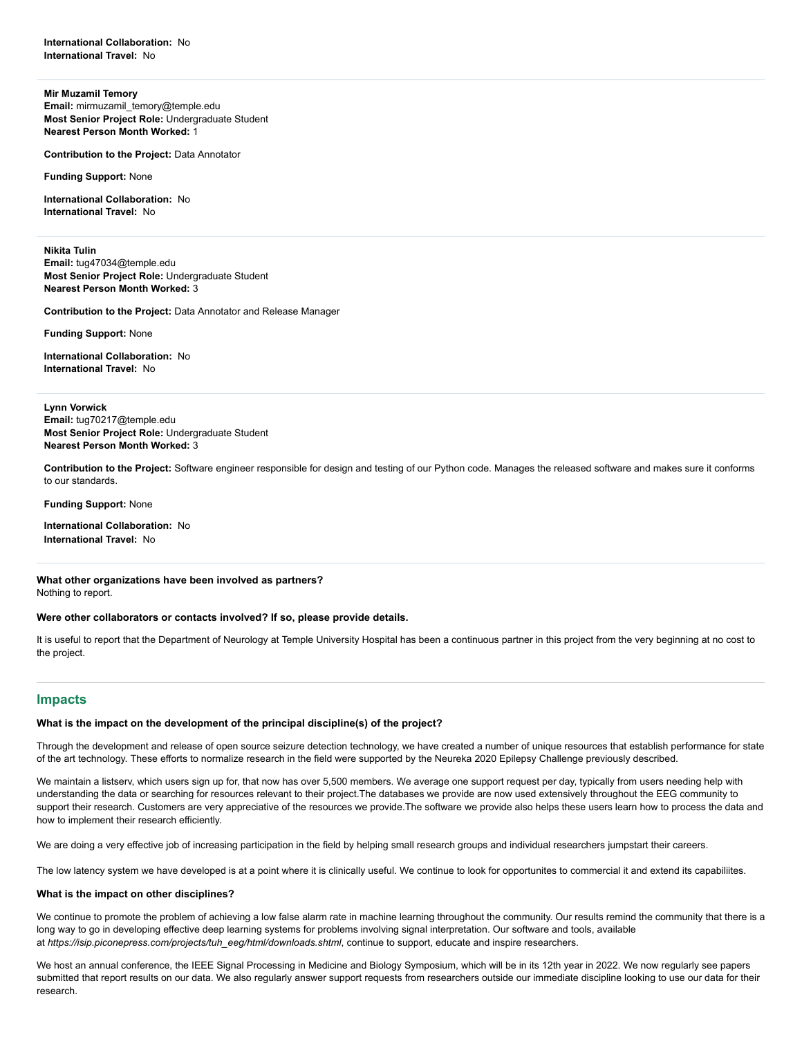<span id="page-8-1"></span>**Mir Muzamil Temory Email:** mirmuzamil\_temory@temple.edu **Most Senior Project Role:** Undergraduate Student **Nearest Person Month Worked:** 1

**Contribution to the Project:** Data Annotator

**Funding Support:** None

**International Collaboration:** No **International Travel:** No

<span id="page-8-2"></span>**Nikita Tulin Email:** tug47034@temple.edu **Most Senior Project Role:** Undergraduate Student **Nearest Person Month Worked:** 3

**Contribution to the Project:** Data Annotator and Release Manager

**Funding Support:** None

**International Collaboration:** No **International Travel:** No

<span id="page-8-3"></span>**Lynn Vorwick Email:** tug70217@temple.edu **Most Senior Project Role:** Undergraduate Student **Nearest Person Month Worked:** 3

**Contribution to the Project:** Software engineer responsible for design and testing of our Python code. Manages the released software and makes sure it conforms to our standards.

**Funding Support:** None

**International Collaboration:** No **International Travel:** No

**What other organizations have been involved as partners?** Nothing to report.

**Were other collaborators or contacts involved? If so, please provide details.**

It is useful to report that the Department of Neurology at Temple University Hospital has been a continuous partner in this project from the very beginning at no cost to the project.

## <span id="page-8-0"></span>**Impacts**

## **What is the impact on the development of the principal discipline(s) of the project?**

Through the development and release of open source seizure detection technology, we have created a number of unique resources that establish performance for state of the art technology. These efforts to normalize research in the field were supported by the Neureka 2020 Epilepsy Challenge previously described.

We maintain a listserv, which users sign up for, that now has over 5,500 members. We average one support request per day, typically from users needing help with understanding the data or searching for resources relevant to their project.The databases we provide are now used extensively throughout the EEG community to support their research. Customers are very appreciative of the resources we provide. The software we provide also helps these users learn how to process the data and how to implement their research efficiently.

We are doing a very effective job of increasing participation in the field by helping small research groups and individual researchers jumpstart their careers.

The low latency system we have developed is at a point where it is clinically useful. We continue to look for opportunites to commercial it and extend its capabiliites.

## **What is the impact on other disciplines?**

We continue to promote the problem of achieving a low false alarm rate in machine learning throughout the community. Our results remind the community that there is a long way to go in developing effective deep learning systems for problems involving signal interpretation. Our software and tools, available at *https://isip.piconepress.com/projects/tuh\_eeg/html/downloads.shtml*, continue to support, educate and inspire researchers.

We host an annual conference, the IEEE Signal Processing in Medicine and Biology Symposium, which will be in its 12th year in 2022. We now regularly see papers submitted that report results on our data. We also regularly answer support requests from researchers outside our immediate discipline looking to use our data for their research.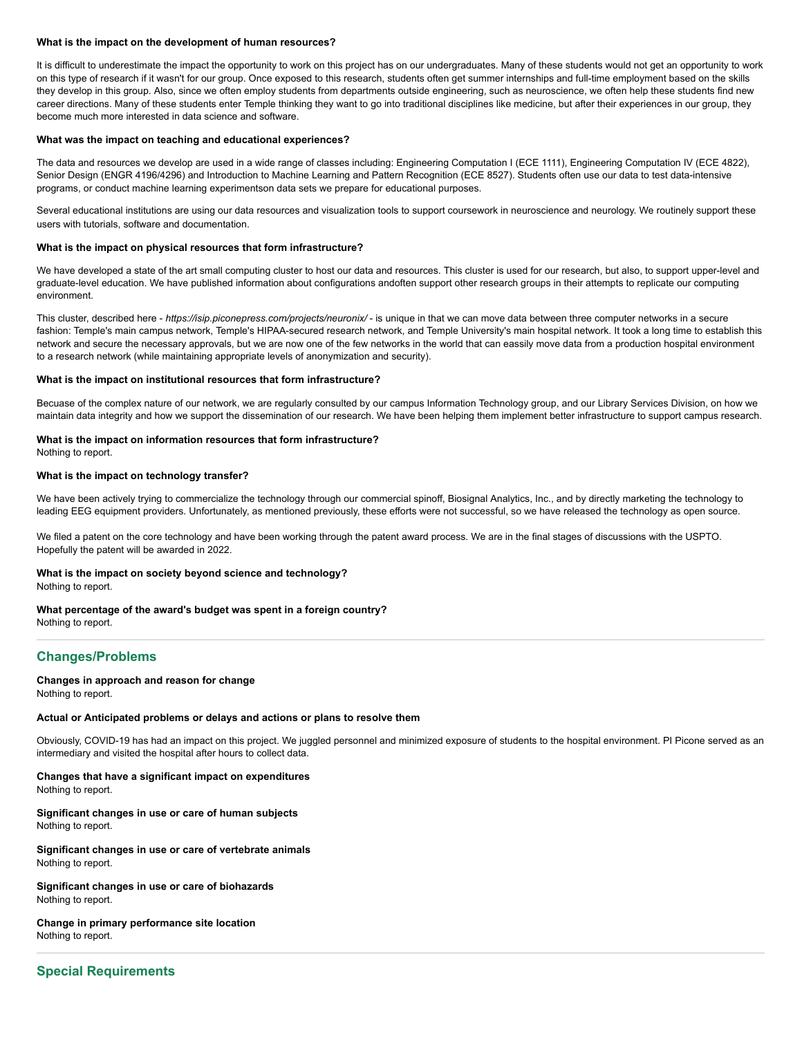#### **What is the impact on the development of human resources?**

It is difficult to underestimate the impact the opportunity to work on this project has on our undergraduates. Many of these students would not get an opportunity to work on this type of research if it wasn't for our group. Once exposed to this research, students often get summer internships and full-time employment based on the skills they develop in this group. Also, since we often employ students from departments outside engineering, such as neuroscience, we often help these students find new career directions. Many of these students enter Temple thinking they want to go into traditional disciplines like medicine, but after their experiences in our group, they become much more interested in data science and software.

#### **What was the impact on teaching and educational experiences?**

The data and resources we develop are used in a wide range of classes including: Engineering Computation I (ECE 1111), Engineering Computation IV (ECE 4822), Senior Design (ENGR 4196/4296) and Introduction to Machine Learning and Pattern Recognition (ECE 8527). Students often use our data to test data-intensive programs, or conduct machine learning experimentson data sets we prepare for educational purposes.

Several educational institutions are using our data resources and visualization tools to support coursework in neuroscience and neurology. We routinely support these users with tutorials, software and documentation.

#### **What is the impact on physical resources that form infrastructure?**

We have developed a state of the art small computing cluster to host our data and resources. This cluster is used for our research, but also, to support upper-level and graduate-level education. We have published information about configurations andoften support other research groups in their attempts to replicate our computing environment.

This cluster, described here - *https://isip.piconepress.com/projects/neuronix/* - is unique in that we can move data between three computer networks in a secure fashion: Temple's main campus network, Temple's HIPAA-secured research network, and Temple University's main hospital network. It took a long time to establish this network and secure the necessary approvals, but we are now one of the few networks in the world that can eassily move data from a production hospital environment to a research network (while maintaining appropriate levels of anonymization and security).

#### **What is the impact on institutional resources that form infrastructure?**

Becuase of the complex nature of our network, we are regularly consulted by our campus Information Technology group, and our Library Services Division, on how we maintain data integrity and how we support the dissemination of our research. We have been helping them implement better infrastructure to support campus research.

#### **What is the impact on information resources that form infrastructure?**

Nothing to report.

#### **What is the impact on technology transfer?**

We have been actively trying to commercialize the technology through our commercial spinoff, Biosignal Analytics, Inc., and by directly marketing the technology to leading EEG equipment providers. Unfortunately, as mentioned previously, these efforts were not successful, so we have released the technology as open source.

We filed a patent on the core technology and have been working through the patent award process. We are in the final stages of discussions with the USPTO. Hopefully the patent will be awarded in 2022.

#### **What is the impact on society beyond science and technology?**

Nothing to report.

#### **What percentage of the award's budget was spent in a foreign country?**

Nothing to report.

## <span id="page-9-0"></span>**Changes/Problems**

#### **Changes in approach and reason for change**

Nothing to report.

#### **Actual or Anticipated problems or delays and actions or plans to resolve them**

Obviously, COVID-19 has had an impact on this project. We juggled personnel and minimized exposure of students to the hospital environment. PI Picone served as an intermediary and visited the hospital after hours to collect data.

#### **Changes that have a significant impact on expenditures**

Nothing to report.

#### **Significant changes in use or care of human subjects** Nothing to report.

**Significant changes in use or care of vertebrate animals** Nothing to report.

## **Significant changes in use or care of biohazards**

Nothing to report.

#### **Change in primary performance site location** Nothing to report.

## <span id="page-9-1"></span>**Special Requirements**